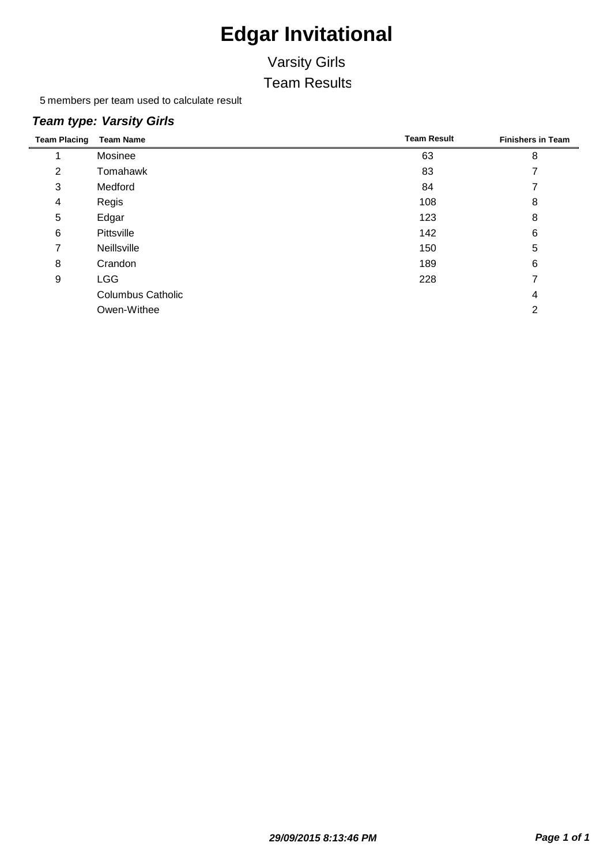### Varsity Girls Team Results

5 members per team used to calculate result

#### *Team type: Varsity Girls*

| <b>Team Placing</b> | <b>Team Name</b>         | <b>Team Result</b> | <b>Finishers in Team</b> |
|---------------------|--------------------------|--------------------|--------------------------|
|                     | Mosinee                  | 63                 | 8                        |
| 2                   | Tomahawk                 | 83                 |                          |
| 3                   | Medford                  | 84                 |                          |
| 4                   | Regis                    | 108                | 8                        |
| 5                   | Edgar                    | 123                | 8                        |
| 6                   | Pittsville               | 142                | 6                        |
| 7                   | Neillsville              | 150                | 5                        |
| 8                   | Crandon                  | 189                | 6                        |
| 9                   | <b>LGG</b>               | 228                |                          |
|                     | <b>Columbus Catholic</b> |                    | 4                        |
|                     | Owen-Withee              |                    | 2                        |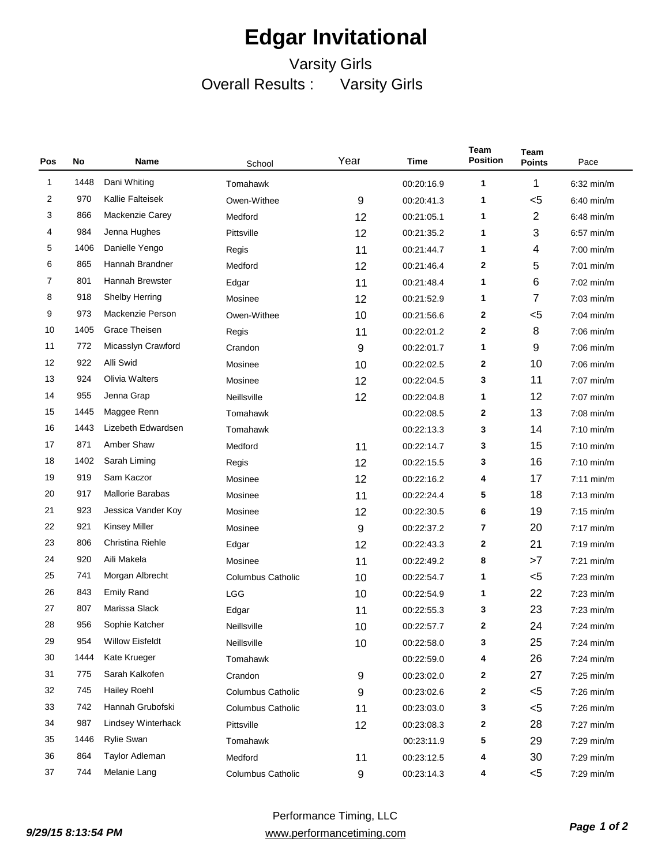### Varsity Girls Overall Results : Varsity Girls

| Pos            | No   | Name                    | School                   | Year | Time       | Team<br><b>Position</b> | <b>Team</b><br><b>Points</b> | Pace         |
|----------------|------|-------------------------|--------------------------|------|------------|-------------------------|------------------------------|--------------|
| 1              | 1448 | Dani Whiting            | Tomahawk                 |      | 00:20:16.9 | 1                       | 1                            | $6:32$ min/m |
| 2              | 970  | Kallie Falteisek        | Owen-Withee              | 9    | 00:20:41.3 | 1                       | $5$                          | $6:40$ min/m |
| 3              | 866  | Mackenzie Carey         | Medford                  | 12   | 00:21:05.1 | 1                       | $\overline{2}$               | $6:48$ min/m |
| 4              | 984  | Jenna Hughes            | Pittsville               | 12   | 00:21:35.2 | 1                       | 3                            | $6:57$ min/m |
| 5              | 1406 | Danielle Yengo          | Regis                    | 11   | 00:21:44.7 | 1                       | 4                            | $7:00$ min/m |
| 6              | 865  | Hannah Brandner         | Medford                  | 12   | 00:21:46.4 | 2                       | 5                            | $7:01$ min/m |
| $\overline{7}$ | 801  | Hannah Brewster         | Edgar                    | 11   | 00:21:48.4 | 1                       | 6                            | 7:02 min/m   |
| 8              | 918  | <b>Shelby Herring</b>   | Mosinee                  | 12   | 00:21:52.9 | 1                       | 7                            | $7:03$ min/m |
| 9              | 973  | Mackenzie Person        | Owen-Withee              | 10   | 00:21:56.6 | 2                       | $5$                          | $7:04$ min/m |
| 10             | 1405 | Grace Theisen           | Regis                    | 11   | 00:22:01.2 | 2                       | 8                            | $7:06$ min/m |
| 11             | 772  | Micasslyn Crawford      | Crandon                  | 9    | 00:22:01.7 | 1                       | 9                            | $7:06$ min/m |
| 12             | 922  | Alli Swid               | Mosinee                  | 10   | 00:22:02.5 | 2                       | 10                           | $7:06$ min/m |
| 13             | 924  | Olivia Walters          | Mosinee                  | 12   | 00:22:04.5 | 3                       | 11                           | 7:07 min/m   |
| 14             | 955  | Jenna Grap              | Neillsville              | 12   | 00:22:04.8 | 1                       | 12                           | 7:07 min/m   |
| 15             | 1445 | Maggee Renn             | Tomahawk                 |      | 00:22:08.5 | 2                       | 13                           | $7:08$ min/m |
| 16             | 1443 | Lizebeth Edwardsen      | Tomahawk                 |      | 00:22:13.3 | 3                       | 14                           | $7:10$ min/m |
| 17             | 871  | Amber Shaw              | Medford                  | 11   | 00:22:14.7 | 3                       | 15                           | 7:10 min/m   |
| 18             | 1402 | Sarah Liming            | Regis                    | 12   | 00:22:15.5 | 3                       | 16                           | $7:10$ min/m |
| 19             | 919  | Sam Kaczor              | Mosinee                  | 12   | 00:22:16.2 | 4                       | 17                           | $7:11$ min/m |
| 20             | 917  | <b>Mallorie Barabas</b> | Mosinee                  | 11   | 00:22:24.4 | 5                       | 18                           | $7:13$ min/m |
| 21             | 923  | Jessica Vander Koy      | Mosinee                  | 12   | 00:22:30.5 | 6                       | 19                           | $7:15$ min/m |
| 22             | 921  | <b>Kinsey Miller</b>    | Mosinee                  | 9    | 00:22:37.2 | 7                       | 20                           | $7:17$ min/m |
| 23             | 806  | Christina Riehle        | Edgar                    | 12   | 00:22:43.3 | 2                       | 21                           | $7:19$ min/m |
| 24             | 920  | Aili Makela             | Mosinee                  | 11   | 00:22:49.2 | 8                       | >7                           | $7:21$ min/m |
| 25             | 741  | Morgan Albrecht         | <b>Columbus Catholic</b> | 10   | 00:22:54.7 | 1                       | $5$                          | $7:23$ min/m |
| 26             | 843  | <b>Emily Rand</b>       | <b>LGG</b>               | 10   | 00:22:54.9 | 1                       | 22                           | $7:23$ min/m |
| 27             | 807  | Marissa Slack           | Edgar                    | 11   | 00:22:55.3 | 3                       | 23                           | $7:23$ min/m |
| 28             | 956  | Sophie Katcher          | Neillsville              | 10   | 00:22:57.7 | 2                       | 24                           | $7:24$ min/m |
| 29             | 954  | <b>Willow Eisfeldt</b>  | Neillsville              | 10   | 00:22:58.0 | 3                       | 25                           | 7:24 min/m   |
| 30             | 1444 | Kate Krueger            | Tomahawk                 |      | 00:22:59.0 | 4                       | 26                           | 7:24 min/m   |
| 31             | 775  | Sarah Kalkofen          | Crandon                  | 9    | 00:23:02.0 | 2                       | 27                           | $7:25$ min/m |
| 32             | 745  | <b>Hailey Roehl</b>     | <b>Columbus Catholic</b> | 9    | 00:23:02.6 | 2                       | $5$                          | 7:26 min/m   |
| 33             | 742  | Hannah Grubofski        | <b>Columbus Catholic</b> | 11   | 00:23:03.0 | 3                       | $<$ 5                        | $7:26$ min/m |
| 34             | 987  | Lindsey Winterhack      | Pittsville               | 12   | 00:23:08.3 | 2                       | 28                           | 7:27 min/m   |
| 35             | 1446 | <b>Rylie Swan</b>       | Tomahawk                 |      | 00:23:11.9 | 5                       | 29                           | 7:29 min/m   |
| 36             | 864  | Taylor Adleman          | Medford                  | 11   | 00:23:12.5 | 4                       | 30                           | 7:29 min/m   |
| 37             | 744  | Melanie Lang            | <b>Columbus Catholic</b> | 9    | 00:23:14.3 | 4                       | $5$                          | 7:29 min/m   |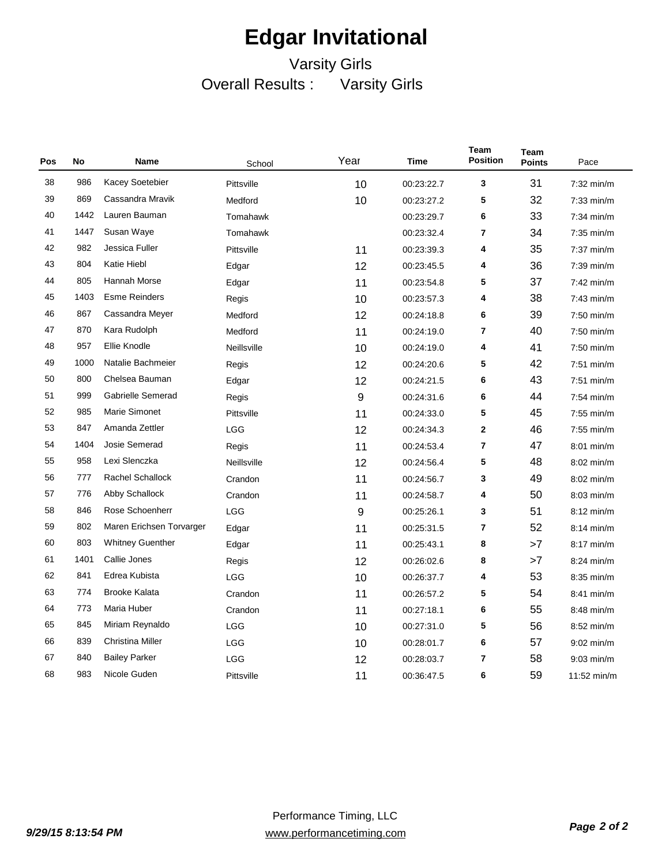### Varsity Girls Overall Results : Varsity Girls

| Pos | No   | <b>Name</b>              | School      | Year | <b>Time</b> | Team<br><b>Position</b> | <b>Team</b><br><b>Points</b> | Pace         |
|-----|------|--------------------------|-------------|------|-------------|-------------------------|------------------------------|--------------|
| 38  | 986  | Kacey Soetebier          | Pittsville  | 10   | 00:23:22.7  | 3                       | 31                           | $7:32$ min/m |
| 39  | 869  | Cassandra Mravik         | Medford     | 10   | 00:23:27.2  | 5                       | 32                           | $7:33$ min/m |
| 40  | 1442 | Lauren Bauman            | Tomahawk    |      | 00:23:29.7  | 6                       | 33                           | $7:34$ min/m |
| 41  | 1447 | Susan Waye               | Tomahawk    |      | 00:23:32.4  | 7                       | 34                           | $7:35$ min/m |
| 42  | 982  | Jessica Fuller           | Pittsville  | 11   | 00:23:39.3  | 4                       | 35                           | 7:37 min/m   |
| 43  | 804  | Katie Hiebl              | Edgar       | 12   | 00:23:45.5  | 4                       | 36                           | 7:39 min/m   |
| 44  | 805  | Hannah Morse             | Edgar       | 11   | 00:23:54.8  | 5                       | 37                           | $7:42$ min/m |
| 45  | 1403 | <b>Esme Reinders</b>     | Regis       | 10   | 00:23:57.3  | 4                       | 38                           | $7:43$ min/m |
| 46  | 867  | Cassandra Meyer          | Medford     | 12   | 00:24:18.8  | 6                       | 39                           | $7:50$ min/m |
| 47  | 870  | Kara Rudolph             | Medford     | 11   | 00:24:19.0  | 7                       | 40                           | $7:50$ min/m |
| 48  | 957  | Ellie Knodle             | Neillsville | 10   | 00:24:19.0  | 4                       | 41                           | 7:50 min/m   |
| 49  | 1000 | Natalie Bachmeier        | Regis       | 12   | 00:24:20.6  | 5                       | 42                           | 7:51 min/m   |
| 50  | 800  | Chelsea Bauman           | Edgar       | 12   | 00:24:21.5  | 6                       | 43                           | $7:51$ min/m |
| 51  | 999  | Gabrielle Semerad        | Regis       | 9    | 00:24:31.6  | 6                       | 44                           | 7:54 min/m   |
| 52  | 985  | Marie Simonet            | Pittsville  | 11   | 00:24:33.0  | 5                       | 45                           | $7:55$ min/m |
| 53  | 847  | Amanda Zettler           | <b>LGG</b>  | 12   | 00:24:34.3  | $\mathbf{2}$            | 46                           | $7:55$ min/m |
| 54  | 1404 | Josie Semerad            | Regis       | 11   | 00:24:53.4  | 7                       | 47                           | $8:01$ min/m |
| 55  | 958  | Lexi Slenczka            | Neillsville | 12   | 00:24:56.4  | 5                       | 48                           | 8:02 min/m   |
| 56  | 777  | <b>Rachel Schallock</b>  | Crandon     | 11   | 00:24:56.7  | 3                       | 49                           | 8:02 min/m   |
| 57  | 776  | Abby Schallock           | Crandon     | 11   | 00:24:58.7  | 4                       | 50                           | 8:03 min/m   |
| 58  | 846  | Rose Schoenherr          | <b>LGG</b>  | 9    | 00:25:26.1  | 3                       | 51                           | $8:12$ min/m |
| 59  | 802  | Maren Erichsen Torvarger | Edgar       | 11   | 00:25:31.5  | 7                       | 52                           | $8:14$ min/m |
| 60  | 803  | <b>Whitney Guenther</b>  | Edgar       | 11   | 00:25:43.1  | 8                       | >7                           | $8:17$ min/m |
| 61  | 1401 | Callie Jones             | Regis       | 12   | 00:26:02.6  | 8                       | >7                           | $8:24$ min/m |
| 62  | 841  | Edrea Kubista            | LGG         | 10   | 00:26:37.7  | 4                       | 53                           | 8:35 min/m   |
| 63  | 774  | <b>Brooke Kalata</b>     | Crandon     | 11   | 00:26:57.2  | 5                       | 54                           | 8:41 min/m   |
| 64  | 773  | Maria Huber              | Crandon     | 11   | 00:27:18.1  | 6                       | 55                           | $8:48$ min/m |
| 65  | 845  | Miriam Reynaldo          | <b>LGG</b>  | 10   | 00:27:31.0  | 5                       | 56                           | 8:52 min/m   |
| 66  | 839  | Christina Miller         | <b>LGG</b>  | 10   | 00:28:01.7  | 6                       | 57                           | $9:02$ min/m |
| 67  | 840  | <b>Bailey Parker</b>     | LGG         | 12   | 00:28:03.7  | 7                       | 58                           | $9:03$ min/m |
| 68  | 983  | Nicole Guden             | Pittsville  | 11   | 00:36:47.5  | 6                       | 59                           | 11:52 min/m  |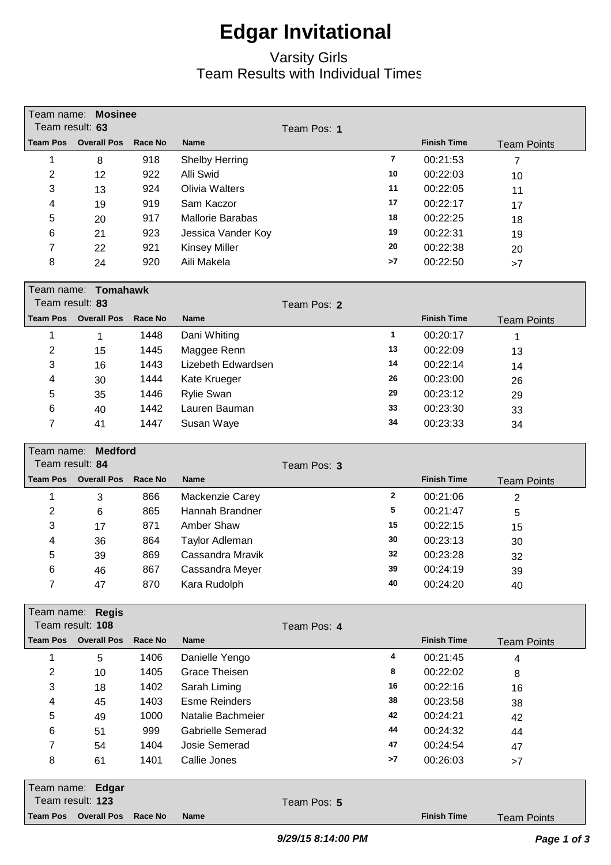#### Varsity Girls Team Results with Individual Times

|                 | Team name: Mosinee                     |         |                          |             |                         |                    |                    |
|-----------------|----------------------------------------|---------|--------------------------|-------------|-------------------------|--------------------|--------------------|
| Team result: 63 |                                        |         |                          | Team Pos: 1 |                         |                    |                    |
| <b>Team Pos</b> | <b>Overall Pos</b>                     | Race No | <b>Name</b>              |             |                         | <b>Finish Time</b> | <b>Team Points</b> |
| 1               | 8                                      | 918     | <b>Shelby Herring</b>    |             | $\overline{\mathbf{r}}$ | 00:21:53           | $\overline{7}$     |
| $\overline{2}$  | 12                                     | 922     | Alli Swid                |             | 10                      | 00:22:03           | 10                 |
| 3               | 13                                     | 924     | <b>Olivia Walters</b>    |             | 11                      | 00:22:05           | 11                 |
| 4               | 19                                     | 919     | Sam Kaczor               |             | 17                      | 00:22:17           | 17                 |
| 5               | 20                                     | 917     | <b>Mallorie Barabas</b>  |             | 18                      | 00:22:25           | 18                 |
| 6               | 21                                     | 923     | Jessica Vander Koy       |             | 19                      | 00:22:31           | 19                 |
| 7               | 22                                     | 921     | <b>Kinsey Miller</b>     |             | 20                      | 00:22:38           | 20                 |
| 8               | 24                                     | 920     | Aili Makela              |             | >7                      | 00:22:50           | >7                 |
|                 |                                        |         |                          |             |                         |                    |                    |
|                 | Team name: Tomahawk                    |         |                          |             |                         |                    |                    |
| Team result: 83 |                                        |         |                          | Team Pos: 2 |                         |                    |                    |
| <b>Team Pos</b> | <b>Overall Pos</b>                     | Race No | <b>Name</b>              |             |                         | <b>Finish Time</b> | <b>Team Points</b> |
| 1               | 1                                      | 1448    | Dani Whiting             |             | $\mathbf{1}$            | 00:20:17           | 1                  |
| 2               | 15                                     | 1445    | Maggee Renn              |             | 13                      | 00:22:09           | 13                 |
| 3               | 16                                     | 1443    | Lizebeth Edwardsen       |             | 14                      | 00:22:14           | 14                 |
| 4               | 30                                     | 1444    | Kate Krueger             |             | 26                      | 00:23:00           | 26                 |
| 5               | 35                                     | 1446    | <b>Rylie Swan</b>        |             | 29                      | 00:23:12           | 29                 |
| 6               | 40                                     | 1442    | Lauren Bauman            |             | 33                      | 00:23:30           | 33                 |
| 7               | 41                                     | 1447    | Susan Waye               |             | 34                      | 00:23:33           | 34                 |
|                 |                                        |         |                          |             |                         |                    |                    |
| Team name:      | <b>Medford</b>                         |         |                          |             |                         |                    |                    |
| Team result: 84 |                                        |         |                          | Team Pos: 3 |                         |                    |                    |
|                 |                                        |         |                          |             |                         |                    |                    |
| <b>Team Pos</b> | <b>Overall Pos</b>                     | Race No | <b>Name</b>              |             |                         | <b>Finish Time</b> | <b>Team Points</b> |
| 1               | 3                                      | 866     | Mackenzie Carey          |             | $\mathbf{2}$            | 00:21:06           | 2                  |
| 2               | 6                                      | 865     | Hannah Brandner          |             | 5                       | 00:21:47           | 5                  |
| 3               | 17                                     | 871     | Amber Shaw               |             | 15                      | 00:22:15           | 15                 |
| 4               | 36                                     | 864     | Taylor Adleman           |             | 30                      | 00:23:13           | 30                 |
| 5               | 39                                     | 869     | Cassandra Mravik         |             | 32                      | 00:23:28           | 32                 |
| 6               | 46                                     | 867     | Cassandra Meyer          |             | 39                      | 00:24:19           | 39                 |
| $\overline{7}$  | 47                                     | 870     | Kara Rudolph             |             | 40                      | 00:24:20           | 40                 |
|                 |                                        |         |                          |             |                         |                    |                    |
|                 | Team name: Regis                       |         |                          |             |                         |                    |                    |
|                 | Team result: 108                       |         |                          | Team Pos: 4 |                         |                    |                    |
| <b>Team Pos</b> | <b>Overall Pos</b>                     | Race No | <b>Name</b>              |             |                         | <b>Finish Time</b> | <b>Team Points</b> |
| 1               | 5                                      | 1406    | Danielle Yengo           |             | 4                       | 00:21:45           | 4                  |
| 2               | 10                                     | 1405    | <b>Grace Theisen</b>     |             | 8                       | 00:22:02           | 8                  |
| 3               | 18                                     | 1402    | Sarah Liming             |             | 16                      | 00:22:16           | 16                 |
| 4               | 45                                     | 1403    | <b>Esme Reinders</b>     |             | 38                      | 00:23:58           | 38                 |
| 5               | 49                                     | 1000    | Natalie Bachmeier        |             | 42                      | 00:24:21           | 42                 |
| 6               | 51                                     | 999     | <b>Gabrielle Semerad</b> |             | 44                      | 00:24:32           | 44                 |
| 7               | 54                                     | 1404    | Josie Semerad            |             | 47                      | 00:24:54           | 47                 |
| 8               | 61                                     | 1401    | Callie Jones             |             | >7                      | 00:26:03           | >7                 |
|                 |                                        |         |                          |             |                         |                    |                    |
| Team name:      | Edgar                                  |         |                          |             |                         |                    |                    |
| <b>Team Pos</b> | Team result: 123<br><b>Overall Pos</b> | Race No | <b>Name</b>              | Team Pos: 5 |                         | <b>Finish Time</b> | <b>Team Points</b> |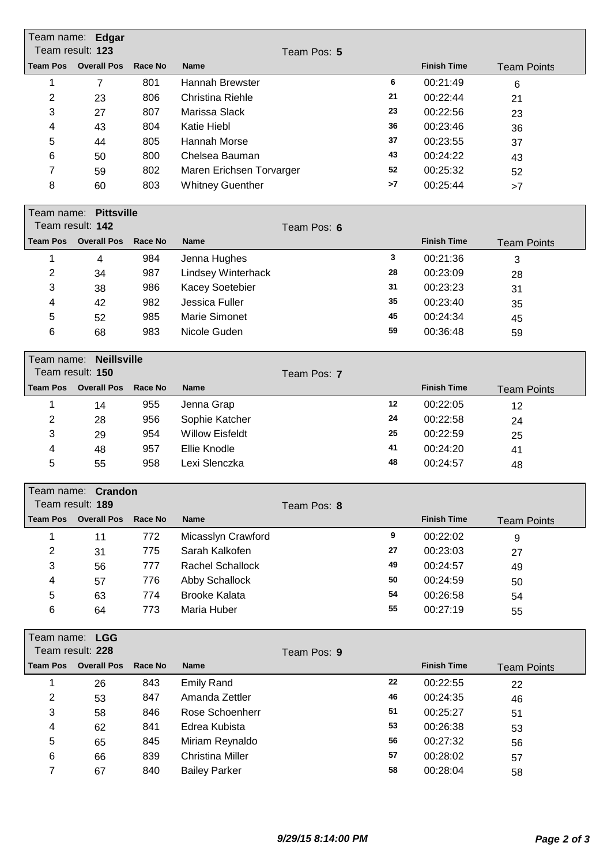| Team name: Edgar<br>Team result: 123 |                                        |         |                          |             |    |                    |                    |
|--------------------------------------|----------------------------------------|---------|--------------------------|-------------|----|--------------------|--------------------|
| <b>Team Pos</b>                      | <b>Overall Pos</b>                     | Race No |                          | Team Pos: 5 |    | <b>Finish Time</b> |                    |
|                                      |                                        |         | <b>Name</b>              |             |    |                    | <b>Team Points</b> |
| 1                                    | $\overline{7}$                         | 801     | Hannah Brewster          |             | 6  | 00:21:49           | 6                  |
| $\overline{c}$                       | 23                                     | 806     | <b>Christina Riehle</b>  |             | 21 | 00:22:44           | 21                 |
| 3                                    | 27                                     | 807     | Marissa Slack            |             | 23 | 00:22:56           | 23                 |
| 4                                    | 43                                     | 804     | Katie Hiebl              |             | 36 | 00:23:46           | 36                 |
| 5                                    | 44                                     | 805     | <b>Hannah Morse</b>      |             | 37 | 00:23:55           | 37                 |
| 6                                    | 50                                     | 800     | Chelsea Bauman           |             | 43 | 00:24:22           | 43                 |
| 7                                    | 59                                     | 802     | Maren Erichsen Torvarger |             | 52 | 00:25:32           | 52                 |
| 8                                    | 60                                     | 803     | <b>Whitney Guenther</b>  |             | >7 | 00:25:44           | >7                 |
|                                      | Team name: Pittsville                  |         |                          |             |    |                    |                    |
|                                      | Team result: 142                       |         |                          | Team Pos: 6 |    |                    |                    |
| <b>Team Pos</b>                      | <b>Overall Pos</b>                     | Race No | <b>Name</b>              |             |    | <b>Finish Time</b> | <b>Team Points</b> |
| 1                                    | $\overline{4}$                         | 984     | Jenna Hughes             |             | 3  | 00:21:36           | 3                  |
| $\overline{2}$                       | 34                                     | 987     | Lindsey Winterhack       |             | 28 | 00:23:09           | 28                 |
| 3                                    | 38                                     | 986     | Kacey Soetebier          |             | 31 | 00:23:23           | 31                 |
| 4                                    | 42                                     | 982     | Jessica Fuller           |             | 35 | 00:23:40           | 35                 |
| 5                                    | 52                                     | 985     | <b>Marie Simonet</b>     |             | 45 | 00:24:34           | 45                 |
| 6                                    | 68                                     | 983     | Nicole Guden             |             | 59 | 00:36:48           | 59                 |
|                                      |                                        |         |                          |             |    |                    |                    |
| Team name:                           | <b>Neillsville</b>                     |         |                          |             |    |                    |                    |
|                                      | Team result: 150                       |         |                          | Team Pos: 7 |    |                    |                    |
| <b>Team Pos</b>                      | <b>Overall Pos</b>                     | Race No | <b>Name</b>              |             |    | <b>Finish Time</b> | <b>Team Points</b> |
| 1                                    | 14                                     | 955     | Jenna Grap               |             | 12 | 00:22:05           | 12                 |
| $\overline{2}$                       | 28                                     | 956     | Sophie Katcher           |             | 24 | 00:22:58           | 24                 |
| 3                                    | 29                                     | 954     | <b>Willow Eisfeldt</b>   |             | 25 | 00:22:59           | 25                 |
| 4                                    | 48                                     | 957     | Ellie Knodle             |             | 41 | 00:24:20           | 41                 |
| 5                                    | 55                                     | 958     | Lexi Slenczka            |             | 48 | 00:24:57           | 48                 |
|                                      | Team name: Crandon                     |         |                          |             |    |                    |                    |
|                                      | Team result: 189                       |         |                          | Team Pos: 8 |    |                    |                    |
| <b>Team Pos</b>                      | <b>Overall Pos</b>                     | Race No | <b>Name</b>              |             |    | <b>Finish Time</b> | <b>Team Points</b> |
| 1                                    | 11                                     | 772     | Micasslyn Crawford       |             | 9  | 00:22:02           | 9                  |
| $\overline{c}$                       | 31                                     | 775     | Sarah Kalkofen           |             | 27 | 00:23:03           | 27                 |
| 3                                    | 56                                     | 777     | Rachel Schallock         |             | 49 | 00:24:57           | 49                 |
| 4                                    | 57                                     | 776     | Abby Schallock           |             | 50 | 00:24:59           | 50                 |
| 5                                    | 63                                     | 774     | <b>Brooke Kalata</b>     |             | 54 | 00:26:58           | 54                 |
| 6                                    | 64                                     | 773     | Maria Huber              |             | 55 | 00:27:19           | 55                 |
|                                      |                                        |         |                          |             |    |                    |                    |
|                                      | Team name: LGG                         |         |                          |             |    |                    |                    |
| <b>Team Pos</b>                      | Team result: 228<br><b>Overall Pos</b> | Race No | <b>Name</b>              | Team Pos: 9 |    | <b>Finish Time</b> |                    |
| 1                                    | 26                                     | 843     | <b>Emily Rand</b>        |             | 22 | 00:22:55           | <b>Team Points</b> |
|                                      |                                        | 847     | Amanda Zettler           |             | 46 | 00:24:35           | 22                 |
| 2                                    | 53                                     |         |                          |             | 51 |                    | 46                 |
| 3                                    | 58                                     | 846     | Rose Schoenherr          |             |    | 00:25:27           | 51                 |
| 4                                    | 62                                     | 841     | Edrea Kubista            |             | 53 | 00:26:38           | 53                 |
| 5                                    | 65                                     | 845     | Miriam Reynaldo          |             | 56 | 00:27:32           | 56                 |
| 6                                    | 66                                     | 839     | <b>Christina Miller</b>  |             | 57 | 00:28:02           | 57                 |
| $\overline{7}$                       | 67                                     | 840     | <b>Bailey Parker</b>     |             | 58 | 00:28:04           | 58                 |